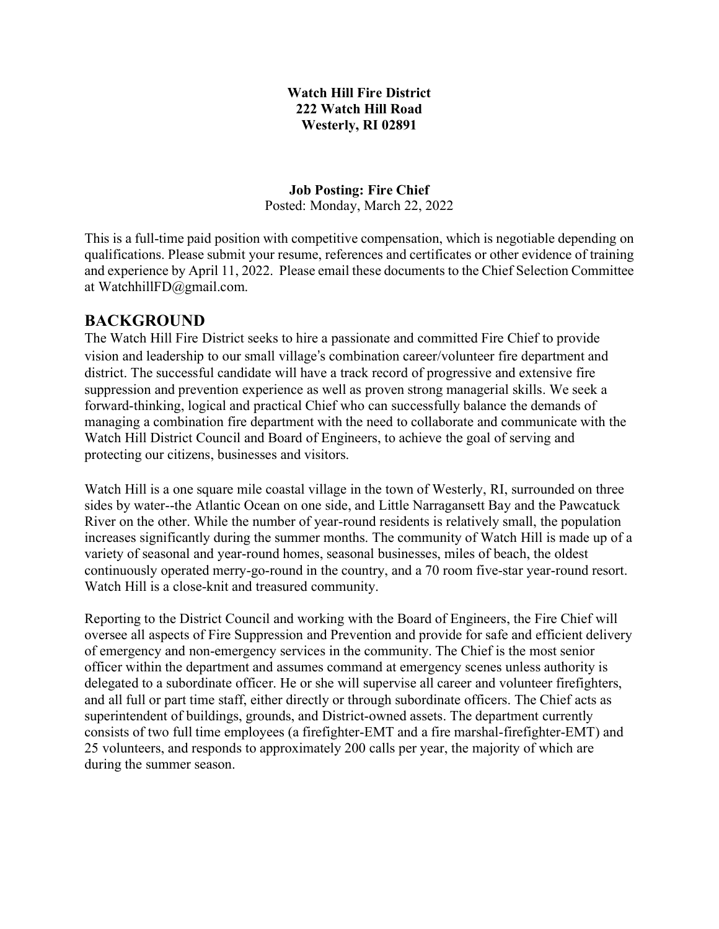#### **Watch Hill Fire District 222 Watch Hill Road Westerly, RI 02891**

**Job Posting: Fire Chief** Posted: Monday, March 22, 2022

This is a full-time paid position with competitive compensation, which is negotiable depending on qualifications. Please submit your resume, references and certificates or other evidence of training and experience by April 11, 2022. Please email these documents to the Chief Selection Committee at WatchhillFD@gmail.com.

#### **BACKGROUND**

The Watch Hill Fire District seeks to hire a passionate and committed Fire Chief to provide vision and leadership to our small village's combination career/volunteer fire department and district. The successful candidate will have a track record of progressive and extensive fire suppression and prevention experience as well as proven strong managerial skills. We seek a forward-thinking, logical and practical Chief who can successfully balance the demands of managing a combination fire department with the need to collaborate and communicate with the Watch Hill District Council and Board of Engineers, to achieve the goal of serving and protecting our citizens, businesses and visitors.

Watch Hill is a one square mile coastal village in the town of Westerly, RI, surrounded on three sides by water--the Atlantic Ocean on one side, and Little Narragansett Bay and the Pawcatuck River on the other. While the number of year-round residents is relatively small, the population increases significantly during the summer months. The community of Watch Hill is made up of a variety of seasonal and year-round homes, seasonal businesses, miles of beach, the oldest continuously operated merry-go-round in the country, and a 70 room five-star year-round resort. Watch Hill is a close-knit and treasured community.

Reporting to the District Council and working with the Board of Engineers, the Fire Chief will oversee all aspects of Fire Suppression and Prevention and provide for safe and efficient delivery of emergency and non-emergency services in the community. The Chief is the most senior officer within the department and assumes command at emergency scenes unless authority is delegated to a subordinate officer. He or she will supervise all career and volunteer firefighters, and all full or part time staff, either directly or through subordinate officers. The Chief acts as superintendent of buildings, grounds, and District-owned assets. The department currently consists of two full time employees (a firefighter-EMT and a fire marshal-firefighter-EMT) and 25 volunteers, and responds to approximately 200 calls per year, the majority of which are during the summer season.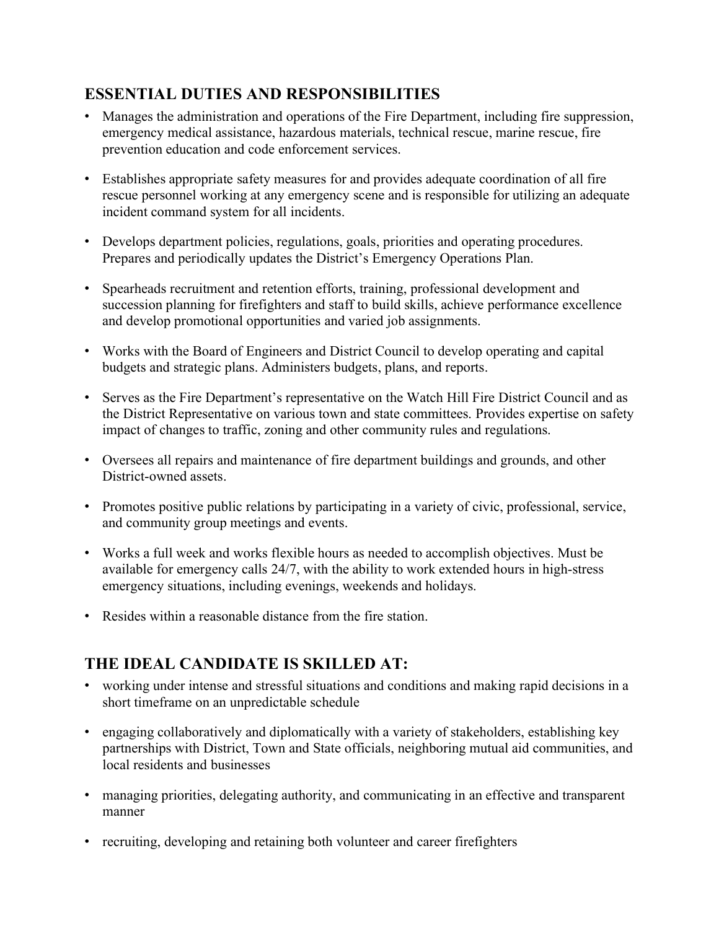### **ESSENTIAL DUTIES AND RESPONSIBILITIES**

- " Manages the administration and operations of the Fire Department, including fire suppression, emergency medical assistance, hazardous materials, technical rescue, marine rescue, fire prevention education and code enforcement services.
- " Establishes appropriate safety measures for and provides adequate coordination of all fire rescue personnel working at any emergency scene and is responsible for utilizing an adequate incident command system for all incidents.
- Develops department policies, regulations, goals, priorities and operating procedures. Prepares and periodically updates the District's Emergency Operations Plan.
- " Spearheads recruitment and retention efforts, training, professional development and succession planning for firefighters and staff to build skills, achieve performance excellence and develop promotional opportunities and varied job assignments.
- " Works with the Board of Engineers and District Council to develop operating and capital budgets and strategic plans. Administers budgets, plans, and reports.
- " Serves as the Fire Department's representative on the Watch Hill Fire District Council and as the District Representative on various town and state committees. Provides expertise on safety impact of changes to traffic, zoning and other community rules and regulations.
- " Oversees all repairs and maintenance of fire department buildings and grounds, and other District-owned assets.
- Promotes positive public relations by participating in a variety of civic, professional, service, and community group meetings and events.
- " Works a full week and works flexible hours as needed to accomplish objectives. Must be available for emergency calls 24/7, with the ability to work extended hours in high-stress emergency situations, including evenings, weekends and holidays.
- Resides within a reasonable distance from the fire station.

# **THE IDEAL CANDIDATE IS SKILLED AT:**

- " working under intense and stressful situations and conditions and making rapid decisions in a short timeframe on an unpredictable schedule
- " engaging collaboratively and diplomatically with a variety of stakeholders, establishing key partnerships with District, Town and State officials, neighboring mutual aid communities, and local residents and businesses
- " managing priorities, delegating authority, and communicating in an effective and transparent manner
- recruiting, developing and retaining both volunteer and career firefighters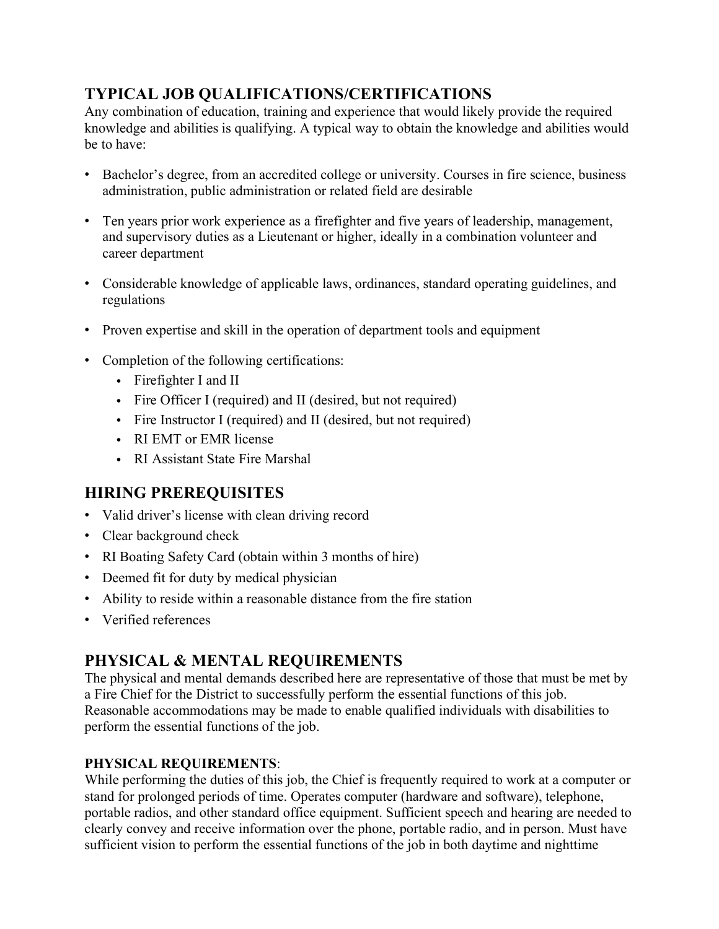# **TYPICAL JOB QUALIFICATIONS/CERTIFICATIONS**

Any combination of education, training and experience that would likely provide the required knowledge and abilities is qualifying. A typical way to obtain the knowledge and abilities would be to have:

- " Bachelor's degree, from an accredited college or university. Courses in fire science, business administration, public administration or related field are desirable
- " Ten years prior work experience as a firefighter and five years of leadership, management, and supervisory duties as a Lieutenant or higher, ideally in a combination volunteer and career department
- " Considerable knowledge of applicable laws, ordinances, standard operating guidelines, and regulations
- Proven expertise and skill in the operation of department tools and equipment
- Completion of the following certifications:
	- Firefighter I and II
	- Fire Officer I (required) and II (desired, but not required)
	- Fire Instructor I (required) and II (desired, but not required)
	- RI EMT or EMR license
	- RI Assistant State Fire Marshal

# **HIRING PREREQUISITES**

- Valid driver's license with clean driving record
- Clear background check
- RI Boating Safety Card (obtain within 3 months of hire)
- Deemed fit for duty by medical physician
- Ability to reside within a reasonable distance from the fire station
- Verified references

# **PHYSICAL & MENTAL REQUIREMENTS**

The physical and mental demands described here are representative of those that must be met by a Fire Chief for the District to successfully perform the essential functions of this job. Reasonable accommodations may be made to enable qualified individuals with disabilities to perform the essential functions of the job.

#### **PHYSICAL REQUIREMENTS**:

While performing the duties of this job, the Chief is frequently required to work at a computer or stand for prolonged periods of time. Operates computer (hardware and software), telephone, portable radios, and other standard office equipment. Sufficient speech and hearing are needed to clearly convey and receive information over the phone, portable radio, and in person. Must have sufficient vision to perform the essential functions of the job in both daytime and nighttime